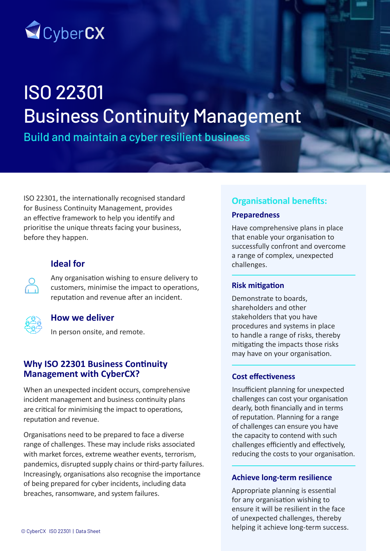

# ISO 22301 Business Continuity Management

Build and maintain a cyber resilient business

ISO 22301, the internationally recognised standard for Business Continuity Management, provides an effective framework to help you identify and prioritise the unique threats facing your business, before they happen.

# **Ideal for**

 $\sum_{i=1}^{n}$ 

Any organisation wishing to ensure delivery to customers, minimise the impact to operations, reputation and revenue after an incident.



## **How we deliver**

In person onsite, and remote.

## **Why ISO 22301 Business Continuity Management with CyberCX?**

When an unexpected incident occurs, comprehensive incident management and business continuity plans are critical for minimising the impact to operations, reputation and revenue.

Organisations need to be prepared to face a diverse range of challenges. These may include risks associated with market forces, extreme weather events, terrorism, pandemics, disrupted supply chains or third-party failures. Increasingly, organisations also recognise the importance of being prepared for cyber incidents, including data breaches, ransomware, and system failures.

# **Organisational benefits:**

## **Preparedness**

Have comprehensive plans in place that enable your organisation to successfully confront and overcome a range of complex, unexpected challenges.

## **Risk mitigation**

Demonstrate to boards, shareholders and other stakeholders that you have procedures and systems in place to handle a range of risks, thereby mitigating the impacts those risks may have on your organisation.

## **Cost effectiveness**

Insufficient planning for unexpected challenges can cost your organisation dearly, both financially and in terms of reputation. Planning for a range of challenges can ensure you have the capacity to contend with such challenges efficiently and effectively, reducing the costs to your organisation.

### **Achieve long-term resilience**

Appropriate planning is essential for any organisation wishing to ensure it will be resilient in the face of unexpected challenges, thereby helping it achieve long-term success.